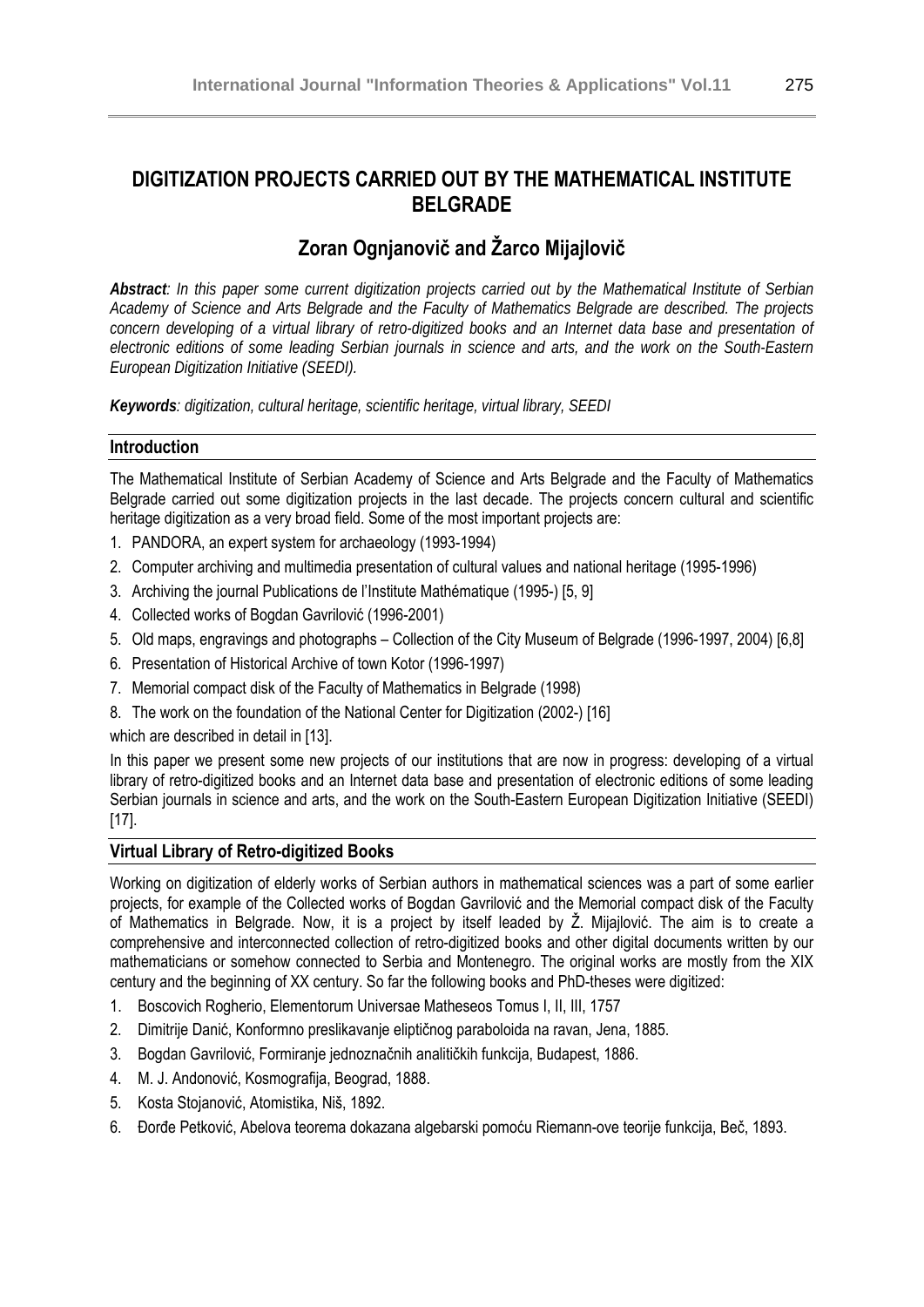## **DIGITIZATION PROJECTS CARRIED OUT BY THE MATHEMATICAL INSTITUTE BELGRADE**

# **Zoran Ognjanovič and Žarco Mijajlovič**

*Abstract: In this paper some current digitization projects carried out by the Mathematical Institute of Serbian Academy of Science and Arts Belgrade and the Faculty of Mathematics Belgrade are described. The projects*  concern developing of a virtual library of retro-digitized books and an Internet data base and presentation of *electronic editions of some leading Serbian journals in science and arts, and the work on the South-Eastern European Digitization Initiative (SEEDI).* 

*Keywords: digitization, cultural heritage, scientific heritage, virtual library, SEEDI* 

#### **Introduction**

The Mathematical Institute of Serbian Academy of Science and Arts Belgrade and the Faculty of Mathematics Belgrade carried out some digitization projects in the last decade. The projects concern cultural and scientific heritage digitization as a very broad field. Some of the most important projects are:

- 1. PANDORA, an expert system for archaeology (1993-1994)
- 2. Computer archiving and multimedia presentation of cultural values and national heritage (1995-1996)
- 3. Archiving the journal Publications de l'Institute Mathématique (1995-) [5, 9]
- 4. Collected works of Bogdan Gavrilović (1996-2001)
- 5. Old maps, engravings and photographs Collection of the City Museum of Belgrade (1996-1997, 2004) [6,8]
- 6. Presentation of Historical Archive of town Kotor (1996-1997)
- 7. Memorial compact disk of the Faculty of Mathematics in Belgrade (1998)
- 8. The work on the foundation of the National Center for Digitization (2002-) [16]

which are described in detail in [13].

In this paper we present some new projects of our institutions that are now in progress: developing of a virtual library of retro-digitized books and an Internet data base and presentation of electronic editions of some leading Serbian journals in science and arts, and the work on the South-Eastern European Digitization Initiative (SEEDI) [17].

#### **Virtual Library of Retro-digitized Books**

Working on digitization of elderly works of Serbian authors in mathematical sciences was a part of some earlier projects, for example of the Collected works of Bogdan Gavrilović and the Memorial compact disk of the Faculty of Mathematics in Belgrade. Now, it is a project by itself leaded by Ž. Mijajlović. The aim is to create a comprehensive and interconnected collection of retro-digitized books and other digital documents written by our mathematicians or somehow connected to Serbia and Montenegro. The original works are mostly from the XIX century and the beginning of XX century. So far the following books and PhD-theses were digitized:

- 1. Boscovich Rogherio, Elementorum Universae Matheseos Tomus I, II, III, 1757
- 2. Dimitrije Danić, Konformno preslikavanje eliptičnog paraboloida na ravan, Jena, 1885.
- 3. Bogdan Gavrilović, Formiranje jednoznačnih analitičkih funkcija, Budapest, 1886.
- 4. M. J. Andonović, Kosmografija, Beograd, 1888.
- 5. Kosta Stojanović, Atomistika, Niš, 1892.
- 6. Đorđe Petković, Abelova teorema dokazana algebarski pomoću Riemann-ove teorije funkcija, Beč, 1893.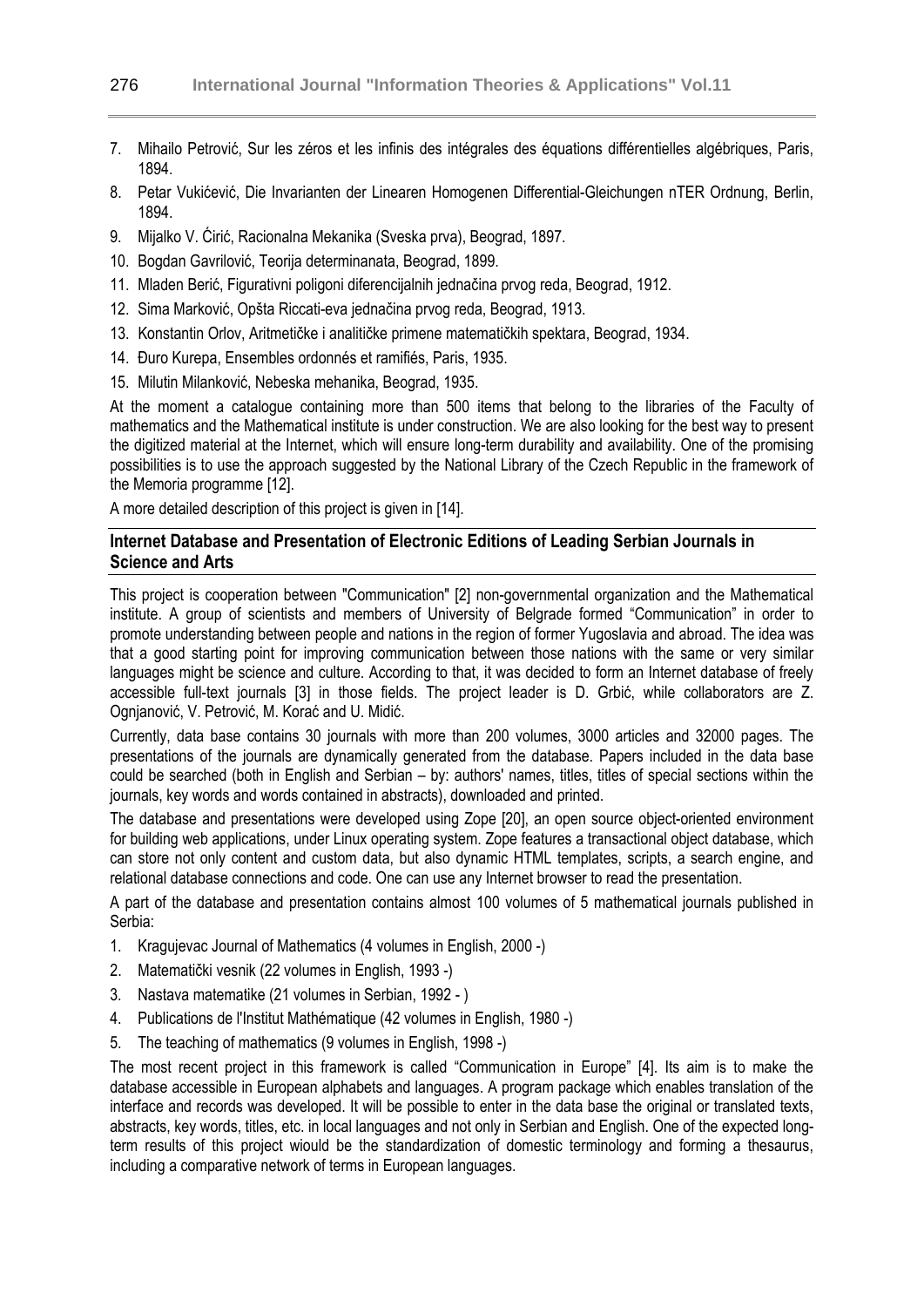- 7. Mihailo Petrović, Sur les zéros et les infinis des intégrales des équations différentielles algébriques, Paris, 1894.
- 8. Petar Vukićević, Die Invarianten der Linearen Homogenen Differential-Gleichungen nTER Ordnung, Berlin, 1894.
- 9. Mijalko V. Ćirić, Racionalna Mekanika (Sveska prva), Beograd, 1897.
- 10. Bogdan Gavrilović, Teorija determinanata, Beograd, 1899.
- 11. Mladen Berić, Figurativni poligoni diferencijalnih jednačina prvog reda, Beograd, 1912.
- 12. Sima Marković, Opšta Riccati-eva jednačina prvog reda, Beograd, 1913.
- 13. Konstantin Orlov, Aritmetičke i analitičke primene matematičkih spektara, Beograd, 1934.
- 14. Đuro Kurepa, Ensembles ordonnés et ramifiés, Paris, 1935.
- 15. Milutin Milanković, Nebeska mehanika, Beograd, 1935.

At the moment a catalogue containing more than 500 items that belong to the libraries of the Faculty of mathematics and the Mathematical institute is under construction. We are also looking for the best way to present the digitized material at the Internet, which will ensure long-term durability and availability. One of the promising possibilities is to use the approach suggested by the National Library of the Czech Republic in the framework of the Memoria programme [12].

A more detailed description of this project is given in [14].

#### **Internet Database and Presentation of Electronic Editions of Leading Serbian Journals in Science and Arts**

This project is cooperation between "Communication" [2] non-governmental organization and the Mathematical institute. A group of scientists and members of University of Belgrade formed "Communication" in order to promote understanding between people and nations in the region of former Yugoslavia and abroad. The idea was that a good starting point for improving communication between those nations with the same or very similar languages might be science and culture. According to that, it was decided to form an Internet database of freely accessible full-text journals [3] in those fields. The project leader is D. Grbić, while collaborators are Z. Ognjanović, V. Petrović, M. Korać and U. Midić.

Currently, data base contains 30 journals with more than 200 volumes, 3000 articles and 32000 pages. The presentations of the journals are dynamically generated from the database. Papers included in the data base could be searched (both in English and Serbian – by: authors' names, titles, titles of special sections within the journals, key words and words contained in abstracts), downloaded and printed.

The database and presentations were developed using Zope [20], an open source object-oriented environment for building web applications, under Linux operating system. Zope features a transactional object database, which can store not only content and custom data, but also dynamic HTML templates, scripts, a search engine, and relational database connections and code. One can use any Internet browser to read the presentation.

A part of the database and presentation contains almost 100 volumes of 5 mathematical journals published in Serbia:

- 1. Kragujevac Journal of Mathematics (4 volumes in English, 2000 -)
- 2. Matematički vesnik (22 volumes in English, 1993 -)
- 3. Nastava matematike (21 volumes in Serbian, 1992 )
- 4. Publications de l'Institut Mathématique (42 volumes in English, 1980 -)
- 5. The teaching of mathematics (9 volumes in English, 1998 -)

The most recent project in this framework is called "Communication in Europe" [4]. Its aim is to make the database accessible in European alphabets and languages. A program package which enables translation of the interface and records was developed. It will be possible to enter in the data base the original or translated texts, abstracts, key words, titles, etc. in local languages and not only in Serbian and English. One of the expected longterm results of this project wiould be the standardization of domestic terminology and forming a thesaurus, including a comparative network of terms in European languages.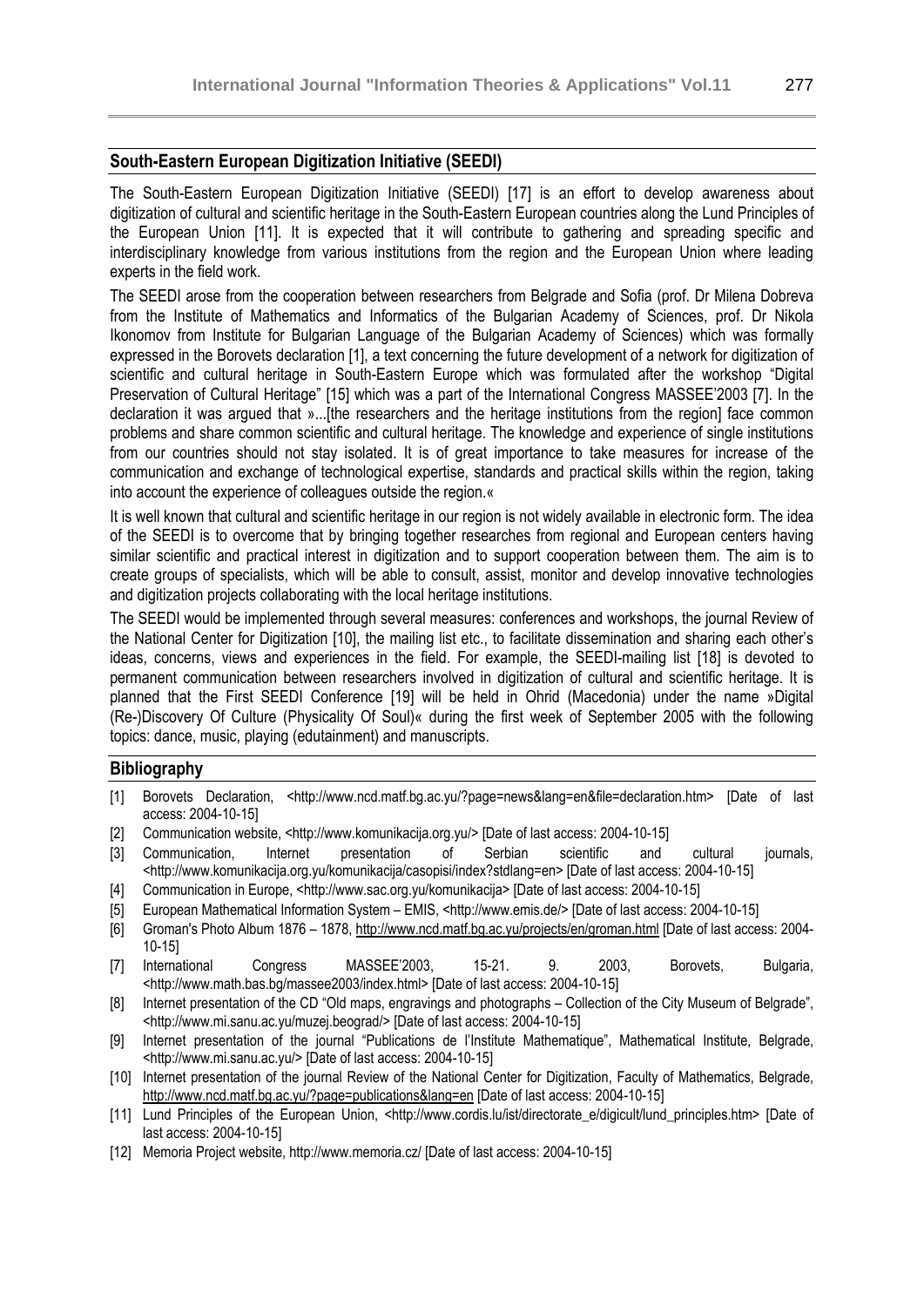#### **South-Eastern European Digitization Initiative (SEEDI)**

The South-Eastern European Digitization Initiative (SEEDI) [17] is an effort to develop awareness about digitization of cultural and scientific heritage in the South-Eastern European countries along the Lund Principles of the European Union [11]. It is expected that it will contribute to gathering and spreading specific and interdisciplinary knowledge from various institutions from the region and the European Union where leading experts in the field work.

The SEEDI arose from the cooperation between researchers from Belgrade and Sofia (prof. Dr Milena Dobreva from the Institute of Mathematics and Informatics of the Bulgarian Academy of Sciences, prof. Dr Nikola Ikonomov from Institute for Bulgarian Language of the Bulgarian Academy of Sciences) which was formally expressed in the Borovets declaration [1], a text concerning the future development of a network for digitization of scientific and cultural heritage in South-Eastern Europe which was formulated after the workshop "Digital Preservation of Cultural Heritage" [15] which was a part of the International Congress MASSEE'2003 [7]. In the declaration it was argued that »...[the researchers and the heritage institutions from the region] face common problems and share common scientific and cultural heritage. The knowledge and experience of single institutions from our countries should not stay isolated. It is of great importance to take measures for increase of the communication and exchange of technological expertise, standards and practical skills within the region, taking into account the experience of colleagues outside the region.«

It is well known that cultural and scientific heritage in our region is not widely available in electronic form. The idea of the SEEDI is to overcome that by bringing together researches from regional and European centers having similar scientific and practical interest in digitization and to support cooperation between them. The aim is to create groups of specialists, which will be able to consult, assist, monitor and develop innovative technologies and digitization projects collaborating with the local heritage institutions.

The SEEDI would be implemented through several measures: conferences and workshops, the journal Review of the National Center for Digitization [10], the mailing list etc., to facilitate dissemination and sharing each other's ideas, concerns, views and experiences in the field. For example, the SEEDI-mailing list [18] is devoted to permanent communication between researchers involved in digitization of cultural and scientific heritage. It is planned that the First SEEDI Conference [19] will be held in Ohrid (Macedonia) under the name »Digital (Re-)Discovery Of Culture (Physicality Of Soul)« during the first week of September 2005 with the following topics: dance, music, playing (edutainment) and manuscripts.

#### **Bibliography**

- [1] Borovets Declaration, <http://www.ncd.matf.bg.ac.yu/?page=news&lang=en&file=declaration.htm> [Date of last access: 2004-10-15]
- [2] Communication website, <http://www.komunikacija.org.yu/> [Date of last access: 2004-10-15]
- [3] Communication, Internet presentation of Serbian scientific and cultural journals, <http://www.komunikacija.org.yu/komunikacija/casopisi/index?stdlang=en> [Date of last access: 2004-10-15]
- [4] Communication in Europe, <http://www.sac.org.yu/komunikacija> [Date of last access: 2004-10-15]
- [5] European Mathematical Information System EMIS, <http://www.emis.de/> [Date of last access: 2004-10-15]
- [6] Groman's Photo Album 1876 1878, http://www.ncd.matf.bg.ac.yu/projects/en/groman.html [Date of last access: 2004- 10-15]
- [7] International Congress MASSEE'2003, 15-21. 9. 2003, Borovets, Bulgaria, <http://www.math.bas.bg/massee2003/index.html> [Date of last access: 2004-10-15]
- [8] Internet presentation of the CD "Old maps, engravings and photographs Collection of the City Museum of Belgrade", <http://www.mi.sanu.ac.yu/muzej.beograd/> [Date of last access: 2004-10-15]
- [9] Internet presentation of the journal "Publications de l'Institute Mathematique", Mathematical Institute, Belgrade, <http://www.mi.sanu.ac.yu/> [Date of last access: 2004-10-15]
- [10] Internet presentation of the journal Review of the National Center for Digitization, Faculty of Mathematics, Belgrade, http://www.ncd.matf.bg.ac.yu/?page=publications&lang=en [Date of last access: 2004-10-15]
- [11] Lund Principles of the European Union, <http://www.cordis.lu/ist/directorate e/digicult/lund\_principles.htm> [Date of last access: 2004-10-15]
- [12] Memoria Project website, http://www.memoria.cz/ [Date of last access: 2004-10-15]